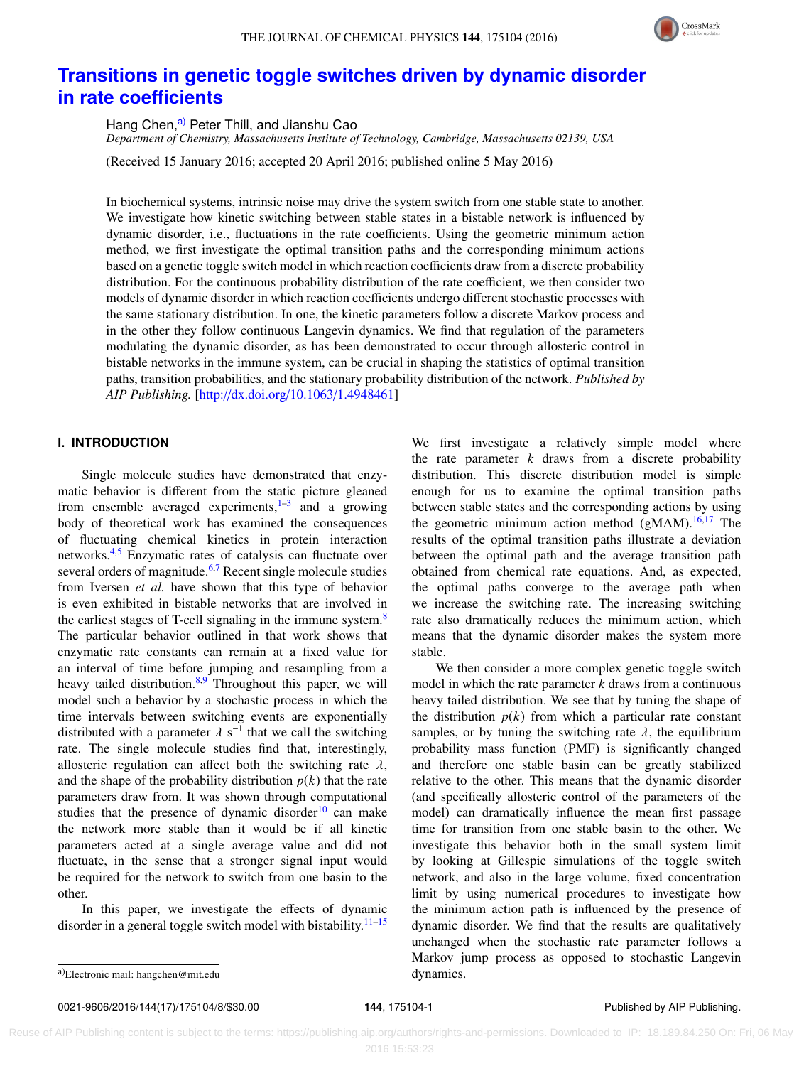

# **[Transitions in genetic toggle switches driven by dynamic disorder](http://dx.doi.org/10.1063/1.4948461) [in rate coefficients](http://dx.doi.org/10.1063/1.4948461)**

Hang Chen,<sup>[a\)](#page-0-0)</sup> Peter Thill, and Jianshu Cao

*Department of Chemistry, Massachusetts Institute of Technology, Cambridge, Massachusetts 02139, USA*

(Received 15 January 2016; accepted 20 April 2016; published online 5 May 2016)

In biochemical systems, intrinsic noise may drive the system switch from one stable state to another. We investigate how kinetic switching between stable states in a bistable network is influenced by dynamic disorder, i.e., fluctuations in the rate coefficients. Using the geometric minimum action method, we first investigate the optimal transition paths and the corresponding minimum actions based on a genetic toggle switch model in which reaction coefficients draw from a discrete probability distribution. For the continuous probability distribution of the rate coefficient, we then consider two models of dynamic disorder in which reaction coefficients undergo different stochastic processes with the same stationary distribution. In one, the kinetic parameters follow a discrete Markov process and in the other they follow continuous Langevin dynamics. We find that regulation of the parameters modulating the dynamic disorder, as has been demonstrated to occur through allosteric control in bistable networks in the immune system, can be crucial in shaping the statistics of optimal transition paths, transition probabilities, and the stationary probability distribution of the network. *Published by AIP Publishing.* [\[http:](http://dx.doi.org/10.1063/1.4948461)//[dx.doi.org](http://dx.doi.org/10.1063/1.4948461)/[10.1063](http://dx.doi.org/10.1063/1.4948461)/[1.4948461\]](http://dx.doi.org/10.1063/1.4948461)

# <span id="page-0-1"></span>**I. INTRODUCTION**

Single molecule studies have demonstrated that enzymatic behavior is different from the static picture gleaned from ensemble averaged experiments, $1-3$  $1-3$  and a growing body of theoretical work has examined the consequences of fluctuating chemical kinetics in protein interaction networks.[4](#page-7-2)[,5](#page-7-3) Enzymatic rates of catalysis can fluctuate over several orders of magnitude. $6,7$  $6,7$  Recent single molecule studies from Iversen *et al.* have shown that this type of behavior is even exhibited in bistable networks that are involved in the earliest stages of T-cell signaling in the immune system.<sup>[8](#page-7-6)</sup> The particular behavior outlined in that work shows that enzymatic rate constants can remain at a fixed value for an interval of time before jumping and resampling from a heavy tailed distribution. $8,9$  $8,9$  Throughout this paper, we will model such a behavior by a stochastic process in which the time intervals between switching events are exponentially distributed with a parameter  $\lambda$  s<sup>-1</sup> that we call the switching<br>rate. The single molecule studies find that interestingly rate. The single molecule studies find that, interestingly, allosteric regulation can affect both the switching rate  $\lambda$ , and the shape of the probability distribution  $p(k)$  that the rate parameters draw from. It was shown through computational studies that the presence of dynamic disorder $10$  can make the network more stable than it would be if all kinetic parameters acted at a single average value and did not fluctuate, in the sense that a stronger signal input would be required for the network to switch from one basin to the other.

In this paper, we investigate the effects of dynamic disorder in a general toggle switch model with bistability.<sup>[11–](#page-7-9)[15](#page-7-10)</sup> We first investigate a relatively simple model where the rate parameter  $k$  draws from a discrete probability distribution. This discrete distribution model is simple enough for us to examine the optimal transition paths between stable states and the corresponding actions by using the geometric minimum action method (gMAM). $^{16,17}$  $^{16,17}$  $^{16,17}$  $^{16,17}$  The results of the optimal transition paths illustrate a deviation between the optimal path and the average transition path obtained from chemical rate equations. And, as expected, the optimal paths converge to the average path when we increase the switching rate. The increasing switching rate also dramatically reduces the minimum action, which means that the dynamic disorder makes the system more stable.

We then consider a more complex genetic toggle switch model in which the rate parameter *k* draws from a continuous heavy tailed distribution. We see that by tuning the shape of the distribution  $p(k)$  from which a particular rate constant samples, or by tuning the switching rate  $\lambda$ , the equilibrium probability mass function (PMF) is significantly changed and therefore one stable basin can be greatly stabilized relative to the other. This means that the dynamic disorder (and specifically allosteric control of the parameters of the model) can dramatically influence the mean first passage time for transition from one stable basin to the other. We investigate this behavior both in the small system limit by looking at Gillespie simulations of the toggle switch network, and also in the large volume, fixed concentration limit by using numerical procedures to investigate how the minimum action path is influenced by the presence of dynamic disorder. We find that the results are qualitatively unchanged when the stochastic rate parameter follows a Markov jump process as opposed to stochastic Langevin dynamics.

0021-9606/2016/144(17)/175104/8/\$30.00 **144**, 175104-1 Published by AIP Publishing.

<span id="page-0-0"></span>a)Electronic mail: [hangchen@mit.edu](mailto:hangchen@mit.edu)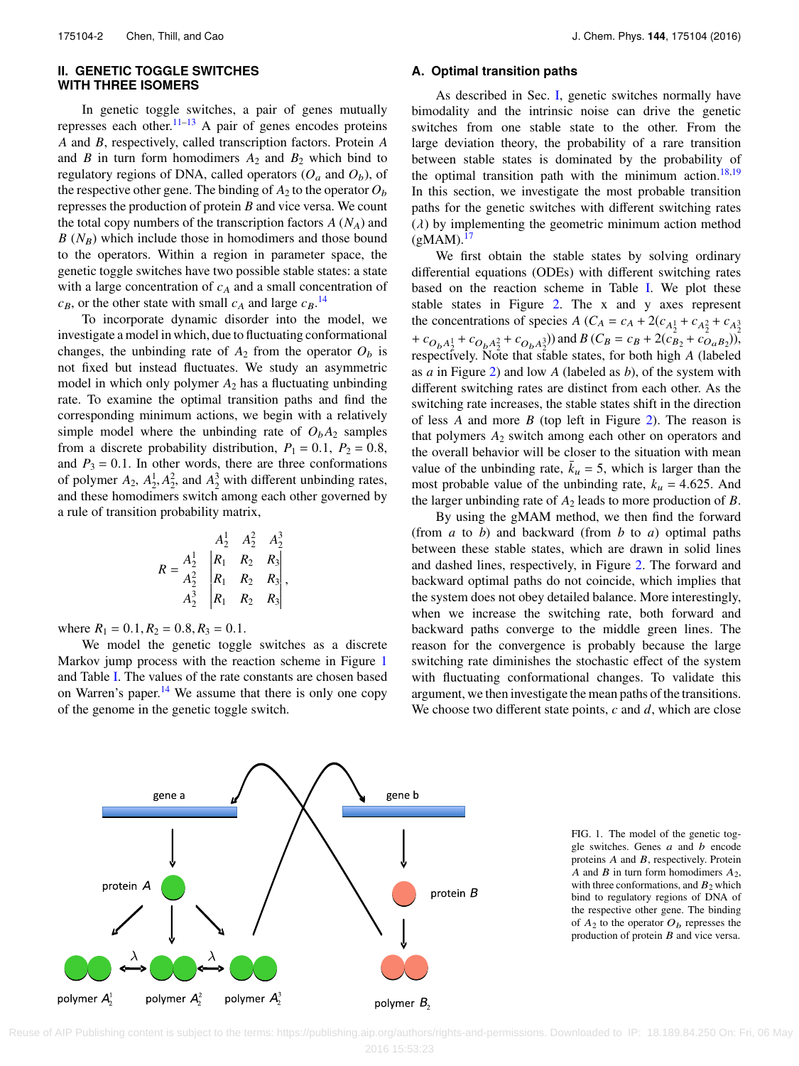## **II. GENETIC TOGGLE SWITCHES WITH THREE ISOMERS**

In genetic toggle switches, a pair of genes mutually represses each other.[11](#page-7-9)[–13](#page-7-13) A pair of genes encodes proteins *A* and *B*, respectively, called transcription factors. Protein *A* and *B* in turn form homodimers  $A_2$  and  $B_2$  which bind to regulatory regions of DNA, called operators  $(O_a \text{ and } O_b)$ , of the respective other gene. The binding of  $A_2$  to the operator  $O_b$ represses the production of protein *B* and vice versa. We count the total copy numbers of the transcription factors  $A(N_A)$  and  $B(N_B)$  which include those in homodimers and those bound to the operators. Within a region in parameter space, the genetic toggle switches have two possible stable states: a state with a large concentration of  $c_A$  and a small concentration of  $c_B$ , or the other state with small  $c_A$  and large  $c_B$ .<sup>[14](#page-7-14)</sup>

To incorporate dynamic disorder into the model, we investigate a model in which, due to fluctuating conformational changes, the unbinding rate of  $A_2$  from the operator  $O_b$  is not fixed but instead fluctuates. We study an asymmetric model in which only polymer *A*<sup>2</sup> has a fluctuating unbinding rate. To examine the optimal transition paths and find the corresponding minimum actions, we begin with a relatively simple model where the unbinding rate of  $O_bA_2$  samples from a discrete probability distribution,  $P_1 = 0.1$ ,  $P_2 = 0.8$ , and  $P_3 = 0.1$ . In other words, there are three conformations of polymer  $A_2$ ,  $A_2^1$ ,  $A_2^2$ , and  $A_2^3$  with different unbinding rates,<br>and these homodimers switch among each other governed by and these homodimers switch among each other governed by a rule of transition probability matrix,

$$
R = \begin{matrix} & A_1^1 & A_2^2 & A_2^3 \\ A_2^1 & R_1 & R_2 & R_3 \\ A_2^2 & R_1 & R_2 & R_3 \\ A_2^3 & R_1 & R_2 & R_3 \end{matrix},
$$

where  $R_1 = 0.1, R_2 = 0.8, R_3 = 0.1$ .

We model the genetic toggle switches as a discrete Markov jump process with the reaction scheme in Figure [1](#page-1-0) and Table [I.](#page-2-0) The values of the rate constants are chosen based on Warren's paper.<sup>[14](#page-7-14)</sup> We assume that there is only one copy of the genome in the genetic toggle switch.

#### **A. Optimal transition paths**

As described in Sec. [I,](#page-0-1) genetic switches normally have bimodality and the intrinsic noise can drive the genetic switches from one stable state to the other. From the large deviation theory, the probability of a rare transition between stable states is dominated by the probability of the optimal transition path with the minimum action.<sup>[18](#page-7-15)[,19](#page-7-16)</sup> In this section, we investigate the most probable transition paths for the genetic switches with different switching rates  $(\lambda)$  by implementing the geometric minimum action method  $(gMAM).<sup>17</sup>$  $(gMAM).<sup>17</sup>$  $(gMAM).<sup>17</sup>$ 

We first obtain the stable states by solving ordinary differential equations (ODEs) with different switching rates based on the reaction scheme in Table [I.](#page-2-0) We plot these stable states in Figure [2.](#page-2-1) The x and y axes represent the concentrations of species  $A (C_A = c_A + 2(c_{A_1^1} + c_{A_2^2} + c_{A_3^3})$ +  $c_{O_bA_2^1}$  +  $c_{O_bA_2^2}$  +  $c_{O_bA_2^3}$ )) and *B* ( $C_B = c_B + 2(c_{B_2}^2 + c_{O_aB_2}^2)$ ), respectively. Note that stable states, for both high *A* (labeled as *a* in Figure [2\)](#page-2-1) and low *A* (labeled as *b*), of the system with different switching rates are distinct from each other. As the switching rate increases, the stable states shift in the direction of less *A* and more *B* (top left in Figure [2\)](#page-2-1). The reason is that polymers  $A_2$  switch among each other on operators and the overall behavior will be closer to the situation with mean value of the unbinding rate,  $\bar{k}_u = 5$ , which is larger than the most probable value of the unbinding rate,  $k<sub>u</sub> = 4.625$ . And the larger unbinding rate of  $A_2$  leads to more production of  $B$ .

By using the gMAM method, we then find the forward (from *a* to *b*) and backward (from *b* to *a*) optimal paths between these stable states, which are drawn in solid lines and dashed lines, respectively, in Figure [2.](#page-2-1) The forward and backward optimal paths do not coincide, which implies that the system does not obey detailed balance. More interestingly, when we increase the switching rate, both forward and backward paths converge to the middle green lines. The reason for the convergence is probably because the large switching rate diminishes the stochastic effect of the system with fluctuating conformational changes. To validate this argument, we then investigate the mean paths of the transitions. We choose two different state points, *c* and *d*, which are close

<span id="page-1-0"></span>

FIG. 1. The model of the genetic toggle switches. Genes  $a$  and  $b$  encode proteins A and B, respectively. Protein A and B in turn form homodimers  $A_2$ , with three conformations, and  $B_2$  which bind to regulatory regions of DNA of the respective other gene. The binding of  $A_2$  to the operator  $O_b$  represses the production of protein B and vice versa.

Reuse of AIP Publishing content is subject to the terms: https://publishing.aip.org/authors/rights-and-permissions. Downloaded to IP: 18.189.84.250 On: Fri, 06 May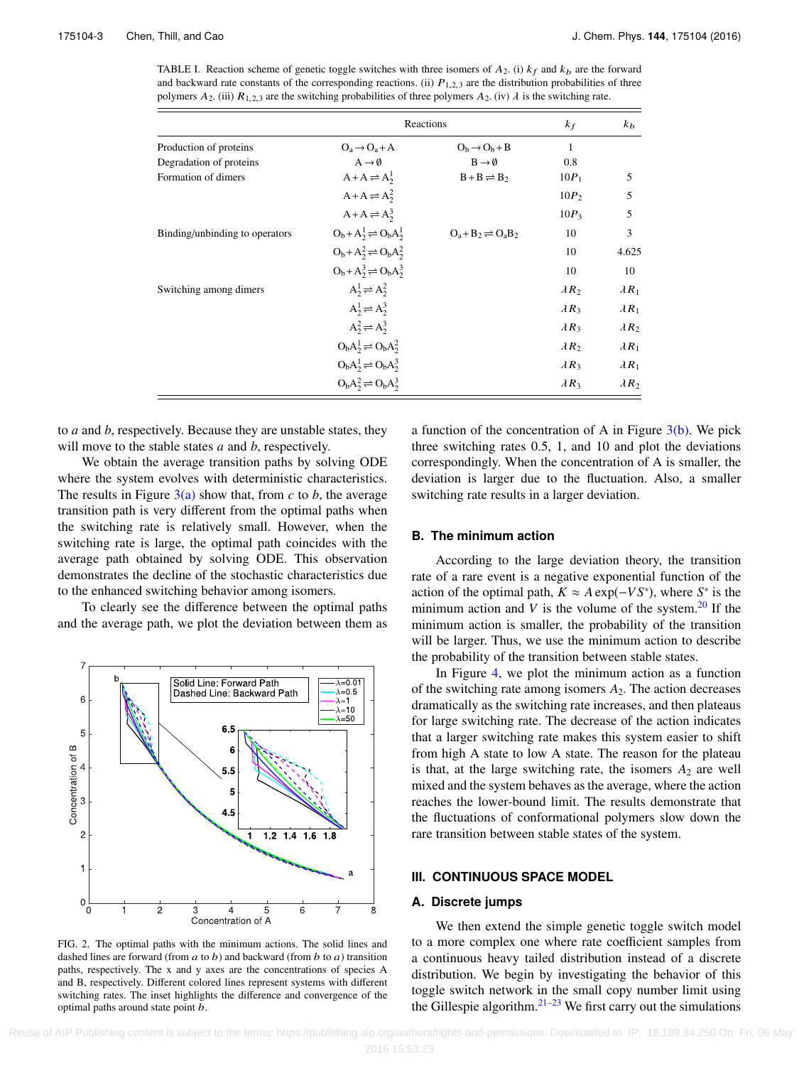<span id="page-2-0"></span>TABLE I. Reaction scheme of genetic toggle switches with three isomers of  $A_2$ . (i)  $k_f$  and  $k_b$  are the forward and backward rate constants of the corresponding reactions. (ii)  $P_{1,2,3}$  are the distribution probabilities of three polymers  $A_2$ . (iii)  $R_{1,2,3}$  are the switching probabilities of three polymers  $A_2$ . (iv)  $\lambda$  is the switching rate.

| Production of proteins         | Reactions                                  |                                       | $k_f$            | k <sub>b</sub> |
|--------------------------------|--------------------------------------------|---------------------------------------|------------------|----------------|
|                                | $Oa \rightarrow Oa + A$                    | $O_h \rightarrow O_h + B$             | 1                |                |
| Degradation of proteins        | $A \rightarrow \emptyset$                  | $B \rightarrow \emptyset$             | 0.8              |                |
| Formation of dimers            | $A + A \rightleftharpoons A^1$             | $B + B \rightleftharpoons B_2$        | $10P_1$          | 5              |
|                                | $A + A \rightleftharpoons A_2^2$           |                                       | 10P <sub>2</sub> | 5              |
|                                | $A + A \rightleftharpoons A_2^3$           |                                       | $10P_3$          | 5              |
| Binding/unbinding to operators | $O_b + A_2^1 \rightleftharpoons O_b A_2^1$ | $O_3 + B_2 \rightleftharpoons O_3B_2$ | 10               | 3              |
|                                | $O_b + A_2^2 \rightleftharpoons O_bA_2^2$  |                                       | 10               | 4.625          |
|                                | $O_b + A_2^3 \rightleftharpoons O_b A_2^3$ |                                       | 10               | 10             |
| Switching among dimers         | $A_2^1 \rightleftharpoons A_2^2$           |                                       | $\lambda R_2$    | $\lambda R_1$  |
|                                | $A_2^1 \rightleftharpoons A_2^3$           |                                       | $\lambda R_3$    | $\lambda R_1$  |
|                                | $A_2^2 \rightleftharpoons A_2^3$           |                                       | $\lambda R_3$    | $\lambda R_2$  |
|                                | $O_bA_2^1 \rightleftharpoons O_bA_2^2$     |                                       | $\lambda R_2$    | $\lambda R_1$  |
|                                | $O_bA_2^1 \rightleftharpoons O_bA_2^3$     |                                       | $\lambda R_3$    | $\lambda R_1$  |
|                                | $O_bA_2^2 \rightleftharpoons O_bA_2^3$     |                                       | $\lambda R_3$    | $\lambda R_2$  |

to *a* and *b*, respectively. Because they are unstable states, they will move to the stable states *a* and *b*, respectively.

We obtain the average transition paths by solving ODE where the system evolves with deterministic characteristics. The results in Figure  $3(a)$  show that, from *c* to *b*, the average transition path is very different from the optimal paths when the switching rate is relatively small. However, when the switching rate is large, the optimal path coincides with the average path obtained by solving ODE. This observation demonstrates the decline of the stochastic characteristics due to the enhanced switching behavior among isomers.

To clearly see the difference between the optimal paths and the average path, we plot the deviation between them as

<span id="page-2-1"></span>

FIG. 2. The optimal paths with the minimum actions. The solid lines and dashed lines are forward (from  $a$  to  $b$ ) and backward (from  $b$  to  $a$ ) transition paths, respectively. The x and y axes are the concentrations of species A and B, respectively. Different colored lines represent systems with different switching rates. The inset highlights the difference and convergence of the optimal paths around state point b.

a function of the concentration of A in Figure  $3(b)$ . We pick three switching rates 0.5, 1, and 10 and plot the deviations correspondingly. When the concentration of A is smaller, the deviation is larger due to the fluctuation. Also, a smaller switching rate results in a larger deviation.

#### **B. The minimum action**

According to the large deviation theory, the transition rate of a rare event is a negative exponential function of the action of the optimal path,  $K \approx A \exp(-VS^*)$ , where *S*<sup>∗</sup> is the minimum action and  $V$  is the volume of the system.<sup>[20](#page-7-17)</sup> If the minimum action is smaller, the probability of the transition will be larger. Thus, we use the minimum action to describe the probability of the transition between stable states.

In Figure [4,](#page-3-1) we plot the minimum action as a function of the switching rate among isomers *A*2. The action decreases dramatically as the switching rate increases, and then plateaus for large switching rate. The decrease of the action indicates that a larger switching rate makes this system easier to shift from high A state to low A state. The reason for the plateau is that, at the large switching rate, the isomers  $A_2$  are well mixed and the system behaves as the average, where the action reaches the lower-bound limit. The results demonstrate that the fluctuations of conformational polymers slow down the rare transition between stable states of the system.

## **III. CONTINUOUS SPACE MODEL**

#### **A. Discrete jumps**

We then extend the simple genetic toggle switch model to a more complex one where rate coefficient samples from a continuous heavy tailed distribution instead of a discrete distribution. We begin by investigating the behavior of this toggle switch network in the small copy number limit using the Gillespie algorithm. $21-23$  $21-23$  We first carry out the simulations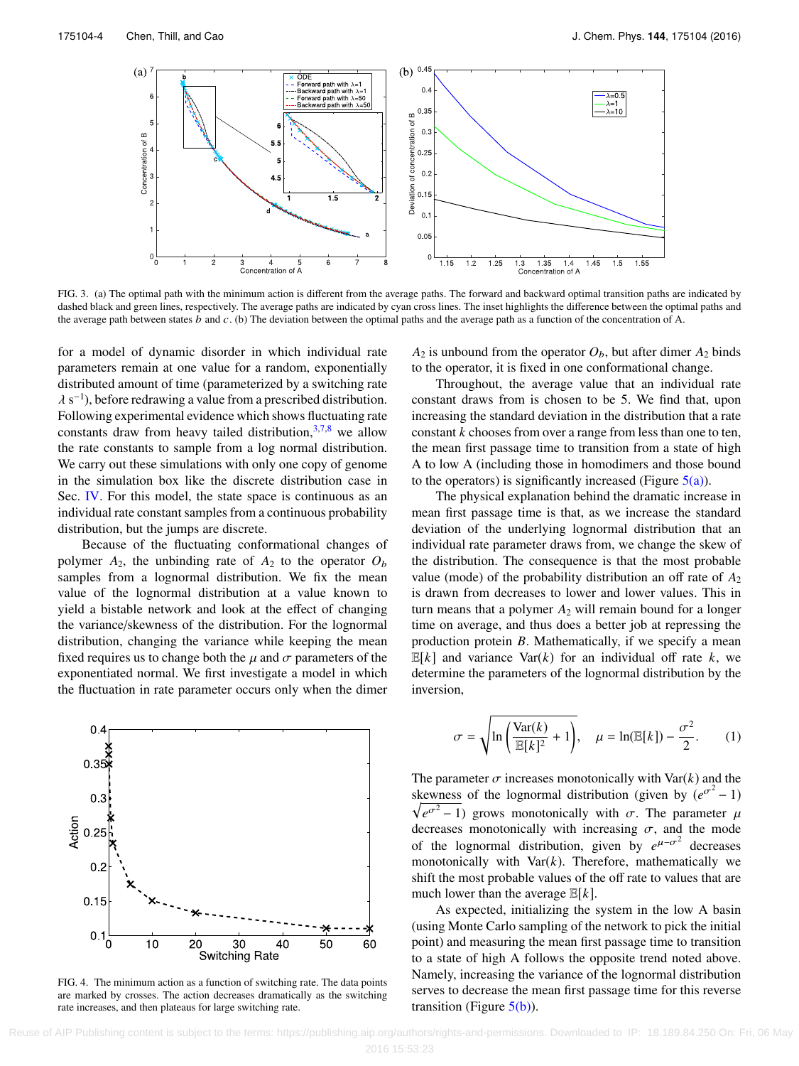<span id="page-3-0"></span>

FIG. 3. (a) The optimal path with the minimum action is different from the average paths. The forward and backward optimal transition paths are indicated by dashed black and green lines, respectively. The average paths are indicated by cyan cross lines. The inset highlights the difference between the optimal paths and the average path between states  $b$  and  $c$ . (b) The deviation between the optimal paths and the average path as a function of the concentration of A.

for a model of dynamic disorder in which individual rate parameters remain at one value for a random, exponentially distributed amount of time (parameterized by a switching rate  $\lambda$  s<sup>-1</sup>), before redrawing a value from a prescribed distribution.<br>Following experimental evidence which shows fluctuating rate Following experimental evidence which shows fluctuating rate constants draw from heavy tailed distribution, $3,7,8$  $3,7,8$  $3,7,8$  we allow the rate constants to sample from a log normal distribution. We carry out these simulations with only one copy of genome in the simulation box like the discrete distribution case in Sec. [IV.](#page-5-0) For this model, the state space is continuous as an individual rate constant samples from a continuous probability distribution, but the jumps are discrete.

Because of the fluctuating conformational changes of polymer  $A_2$ , the unbinding rate of  $A_2$  to the operator  $O_b$ samples from a lognormal distribution. We fix the mean value of the lognormal distribution at a value known to yield a bistable network and look at the effect of changing the variance/skewness of the distribution. For the lognormal distribution, changing the variance while keeping the mean fixed requires us to change both the  $\mu$  and  $\sigma$  parameters of the exponentiated normal. We first investigate a model in which the fluctuation in rate parameter occurs only when the dimer

<span id="page-3-1"></span>

FIG. 4. The minimum action as a function of switching rate. The data points are marked by crosses. The action decreases dramatically as the switching rate increases, and then plateaus for large switching rate.

 $A_2$  is unbound from the operator  $O_b$ , but after dimer  $A_2$  binds to the operator, it is fixed in one conformational change.

Throughout, the average value that an individual rate constant draws from is chosen to be 5. We find that, upon increasing the standard deviation in the distribution that a rate constant *k* chooses from over a range from less than one to ten, the mean first passage time to transition from a state of high A to low A (including those in homodimers and those bound to the operators) is significantly increased (Figure  $5(a)$ ).

The physical explanation behind the dramatic increase in mean first passage time is that, as we increase the standard deviation of the underlying lognormal distribution that an individual rate parameter draws from, we change the skew of the distribution. The consequence is that the most probable value (mode) of the probability distribution an off rate of  $A_2$ is drawn from decreases to lower and lower values. This in turn means that a polymer  $A_2$  will remain bound for a longer time on average, and thus does a better job at repressing the production protein *B*. Mathematically, if we specify a mean  $E[k]$  and variance  $Var(k)$  for an individual off rate k, we determine the parameters of the lognormal distribution by the inversion,

$$
\sigma = \sqrt{\ln\left(\frac{\text{Var}(k)}{\mathbb{E}[k]^2} + 1\right)}, \quad \mu = \ln(\mathbb{E}[k]) - \frac{\sigma^2}{2}.
$$
 (1)

The parameter  $\sigma$  increases monotonically with Var( $k$ ) and the skewness of the lognormal distribution (given by  $(e^{\sigma^2} - 1)$ <br> $\sqrt{e^{\sigma^2} - 1}$ ) grows monotonically with  $\sigma$ . The parameter u  $e^{\sigma^2}$  − 1) grows monotonically with  $\sigma$ . The parameter  $\mu$ <br>creases monotonically with increasing  $\sigma$  and the mode decreases monotonically with increasing  $\sigma$ , and the mode of the lognormal distribution, given by  $e^{\mu-\sigma^2}$  decreases monotonically with  $Var(k)$ . Therefore, mathematically we shift the most probable values of the off rate to values that are much lower than the average  $\mathbb{E}[k]$ .

As expected, initializing the system in the low A basin (using Monte Carlo sampling of the network to pick the initial point) and measuring the mean first passage time to transition to a state of high A follows the opposite trend noted above. Namely, increasing the variance of the lognormal distribution serves to decrease the mean first passage time for this reverse transition (Figure  $5(b)$ ).

Reuse of AIP Publishing content is subject to the terms: https://publishing.aip.org/authors/rights-and-permissions. Downloaded to IP: 18.189.84.250 On: Fri, 06 May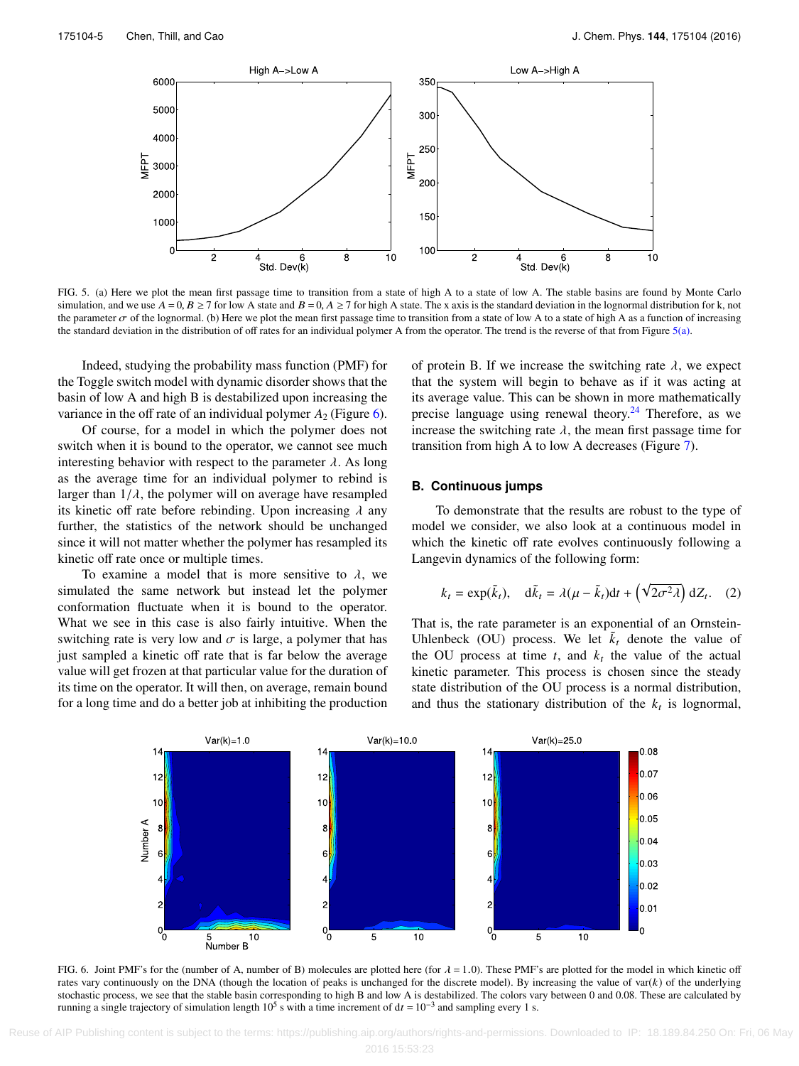<span id="page-4-0"></span>

FIG. 5. (a) Here we plot the mean first passage time to transition from a state of high A to a state of low A. The stable basins are found by Monte Carlo simulation, and we use  $A = 0$ ,  $B \ge 7$  for low A state and  $B = 0$ ,  $A \ge 7$  for high A state. The x axis is the standard deviation in the lognormal distribution for k, not the parameter  $\sigma$  of the lognormal. (b) Here we plot the mean first passage time to transition from a state of low A to a state of high A as a function of increasing the standard deviation in the distribution of off rates for an individual polymer A from the operator. The trend is the reverse of that from Figure [5\(a\).](#page-4-0)

Indeed, studying the probability mass function (PMF) for the Toggle switch model with dynamic disorder shows that the basin of low A and high B is destabilized upon increasing the variance in the off rate of an individual polymer  $A_2$  (Figure [6\)](#page-4-1).

Of course, for a model in which the polymer does not switch when it is bound to the operator, we cannot see much interesting behavior with respect to the parameter  $\lambda$ . As long as the average time for an individual polymer to rebind is larger than  $1/\lambda$ , the polymer will on average have resampled its kinetic off rate before rebinding. Upon increasing  $\lambda$  any further, the statistics of the network should be unchanged since it will not matter whether the polymer has resampled its kinetic off rate once or multiple times.

To examine a model that is more sensitive to  $\lambda$ , we simulated the same network but instead let the polymer conformation fluctuate when it is bound to the operator. What we see in this case is also fairly intuitive. When the switching rate is very low and  $\sigma$  is large, a polymer that has just sampled a kinetic off rate that is far below the average value will get frozen at that particular value for the duration of its time on the operator. It will then, on average, remain bound for a long time and do a better job at inhibiting the production

of protein B. If we increase the switching rate  $\lambda$ , we expect that the system will begin to behave as if it was acting at its average value. This can be shown in more mathematically precise language using renewal theory.<sup>[24](#page-7-20)</sup> Therefore, as we increase the switching rate  $\lambda$ , the mean first passage time for transition from high A to low A decreases (Figure [7\)](#page-5-1).

# **B. Continuous jumps**

To demonstrate that the results are robust to the type of model we consider, we also look at a continuous model in which the kinetic off rate evolves continuously following a Langevin dynamics of the following form:

$$
k_t = \exp(\tilde{k}_t), \quad d\tilde{k}_t = \lambda(\mu - \tilde{k}_t)dt + \left(\sqrt{2\sigma^2\lambda}\right)dZ_t. \quad (2)
$$

That is, the rate parameter is an exponential of an Ornstein-Uhlenbeck (OU) process. We let  $\tilde{k}_t$  denote the value of the OU process at time  $t$ , and  $k_t$  the value of the actual kinetic parameter. This process is chosen since the steady state distribution of the OU process is a normal distribution, and thus the stationary distribution of the  $k_t$  is lognormal,

<span id="page-4-1"></span>

FIG. 6. Joint PMF's for the (number of A, number of B) molecules are plotted here (for  $\lambda = 1.0$ ). These PMF's are plotted for the model in which kinetic off rates vary continuously on the DNA (though the location of peaks is unchanged for the discrete model). By increasing the value of var $(k)$  of the underlying stochastic process, we see that the stable basin corresponding to high B and low A is destabilized. The colors vary between 0 and 0.08. These are calculated by running a single trajectory of simulation length  $10^5$  s with a time increment of  $dt = 10^{-3}$  and sampling every 1 s.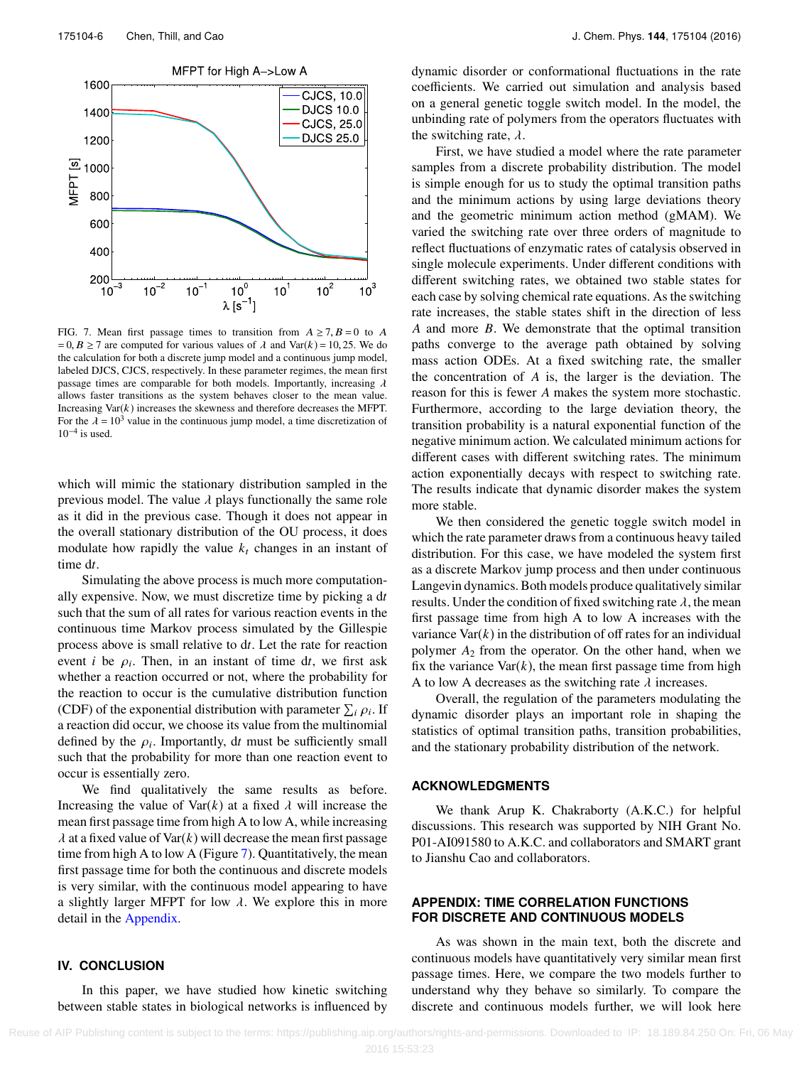<span id="page-5-1"></span>

FIG. 7. Mean first passage times to transition from  $A \ge 7$ ,  $B = 0$  to A  $= 0, B \ge 7$  are computed for various values of  $\lambda$  and Var(k) = 10, 25. We do the calculation for both a discrete jump model and a continuous jump model, labeled DJCS, CJCS, respectively. In these parameter regimes, the mean first passage times are comparable for both models. Importantly, increasing  $\lambda$ allows faster transitions as the system behaves closer to the mean value. Increasing  $\text{Var}(k)$  increases the skewness and therefore decreases the MFPT. For the  $\lambda = 10^3$  value in the continuous jump model, a time discretization of  $10^{-4}$  is used.

which will mimic the stationary distribution sampled in the previous model. The value  $\lambda$  plays functionally the same role as it did in the previous case. Though it does not appear in the overall stationary distribution of the OU process, it does modulate how rapidly the value  $k_t$  changes in an instant of time d*t*.

Simulating the above process is much more computationally expensive. Now, we must discretize time by picking a d*t* such that the sum of all rates for various reaction events in the continuous time Markov process simulated by the Gillespie process above is small relative to d*t*. Let the rate for reaction event *i* be  $\rho_i$ . Then, in an instant of time d*t*, we first ask<br>whether a reaction occurred or not where the probability for whether a reaction occurred or not, where the probability for the reaction to occur is the cumulative distribution function (CDF) of the exponential distribution with parameter  $\sum_i \rho_i$ . If a reaction did occur, we choose its value from the multinomial defined by the  $\rho_i$ . Importantly, dt must be sufficiently small<br>such that the probability for more than one reaction event to such that the probability for more than one reaction event to occur is essentially zero.

We find qualitatively the same results as before. Increasing the value of  $\text{Var}(k)$  at a fixed  $\lambda$  will increase the mean first passage time from high A to low A, while increasing  $\lambda$  at a fixed value of  $\text{Var}(k)$  will decrease the mean first passage time from high A to low A (Figure [7\)](#page-5-1). Quantitatively, the mean first passage time for both the continuous and discrete models is very similar, with the continuous model appearing to have a slightly larger MFPT for low  $\lambda$ . We explore this in more detail in the [Appendix.](#page-5-2)

# <span id="page-5-0"></span>**IV. CONCLUSION**

In this paper, we have studied how kinetic switching between stable states in biological networks is influenced by

dynamic disorder or conformational fluctuations in the rate coefficients. We carried out simulation and analysis based on a general genetic toggle switch model. In the model, the unbinding rate of polymers from the operators fluctuates with the switching rate,  $\lambda$ .

First, we have studied a model where the rate parameter samples from a discrete probability distribution. The model is simple enough for us to study the optimal transition paths and the minimum actions by using large deviations theory and the geometric minimum action method (gMAM). We varied the switching rate over three orders of magnitude to reflect fluctuations of enzymatic rates of catalysis observed in single molecule experiments. Under different conditions with different switching rates, we obtained two stable states for each case by solving chemical rate equations. As the switching rate increases, the stable states shift in the direction of less *A* and more *B*. We demonstrate that the optimal transition paths converge to the average path obtained by solving mass action ODEs. At a fixed switching rate, the smaller the concentration of *A* is, the larger is the deviation. The reason for this is fewer *A* makes the system more stochastic. Furthermore, according to the large deviation theory, the transition probability is a natural exponential function of the negative minimum action. We calculated minimum actions for different cases with different switching rates. The minimum action exponentially decays with respect to switching rate. The results indicate that dynamic disorder makes the system more stable.

We then considered the genetic toggle switch model in which the rate parameter draws from a continuous heavy tailed distribution. For this case, we have modeled the system first as a discrete Markov jump process and then under continuous Langevin dynamics. Both models produce qualitatively similar results. Under the condition of fixed switching rate  $\lambda$ , the mean first passage time from high A to low A increases with the variance  $Var(k)$  in the distribution of off rates for an individual polymer *A*<sup>2</sup> from the operator. On the other hand, when we fix the variance  $\text{Var}(k)$ , the mean first passage time from high A to low A decreases as the switching rate  $\lambda$  increases.

Overall, the regulation of the parameters modulating the dynamic disorder plays an important role in shaping the statistics of optimal transition paths, transition probabilities, and the stationary probability distribution of the network.

#### **ACKNOWLEDGMENTS**

We thank Arup K. Chakraborty (A.K.C.) for helpful discussions. This research was supported by NIH Grant No. P01-AI091580 to A.K.C. and collaborators and SMART grant to Jianshu Cao and collaborators.

# <span id="page-5-2"></span>**APPENDIX: TIME CORRELATION FUNCTIONS FOR DISCRETE AND CONTINUOUS MODELS**

As was shown in the main text, both the discrete and continuous models have quantitatively very similar mean first passage times. Here, we compare the two models further to understand why they behave so similarly. To compare the discrete and continuous models further, we will look here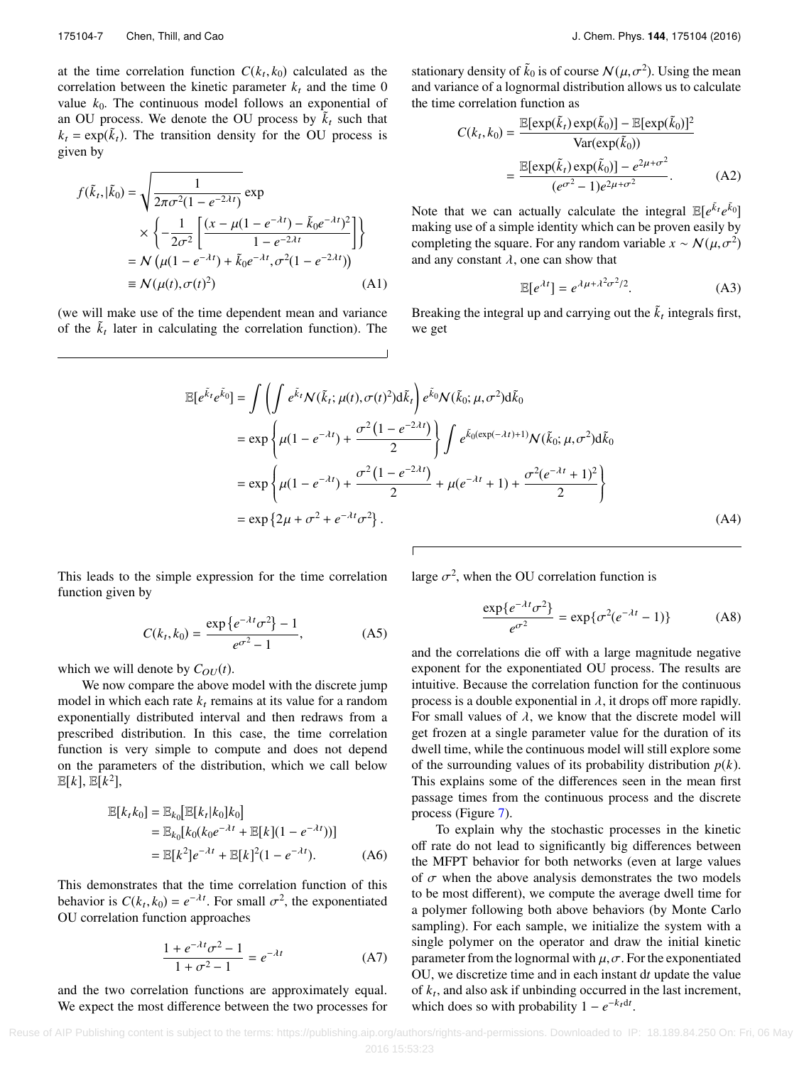at the time correlation function  $C(k_t, k_0)$  calculated as the correlation between the kinetic parameter  $k_0$  and the time 0 correlation between the kinetic parameter  $k_t$  and the time 0 value  $k_0$ . The continuous model follows an exponential of an OU process. We denote the OU process by  $\tilde{k}_t$  such that  $k_t = \exp(\tilde{k}_t)$ . The transition density for the OU process is given by

$$
f(\tilde{k}_t, |\tilde{k}_0) = \sqrt{\frac{1}{2\pi\sigma^2(1 - e^{-2\lambda t})}} \exp \sqrt{\frac{1}{2\sigma^2} \left[ \frac{(x - \mu(1 - e^{-\lambda t}) - \tilde{k}_0 e^{-\lambda t})^2}{1 - e^{-2\lambda t}} \right]} \} = \mathcal{N} (\mu(1 - e^{-\lambda t}) + \tilde{k}_0 e^{-\lambda t}, \sigma^2(1 - e^{-2\lambda t})) = \mathcal{N}(\mu(t), \sigma(t)^2)
$$
 (A1)

(we will make use of the time dependent mean and variance of the  $\tilde{k}_t$  later in calculating the correlation function). The

stationary density of  $\tilde{k}_0$  is of course  $\mathcal{N}(\mu, \sigma^2)$ . Using the mean and variance of a lognormal distribution allows us to calculate the time correlation function as

$$
C(k_t, k_0) = \frac{\mathbb{E}[\exp(\tilde{k}_t)\exp(\tilde{k}_0)] - \mathbb{E}[\exp(\tilde{k}_0)]^2}{\text{Var}(\exp(\tilde{k}_0))}
$$

$$
= \frac{\mathbb{E}[\exp(\tilde{k}_t)\exp(\tilde{k}_0)] - e^{2\mu + \sigma^2}}{(e^{\sigma^2} - 1)e^{2\mu + \sigma^2}}.
$$
(A2)

Note that we can actually calculate the integral  $\mathbb{E}[e^{\tilde{k}_t}e^{\tilde{k}_0}]$ making use of a simple identity which can be proven easily by completing the square. For any random variable  $x \sim \mathcal{N}(\mu, \sigma^2)$ <br>and any constant  $\lambda$  one can show that and any constant  $\lambda$ , one can show that

$$
\mathbb{E}[e^{\lambda t}] = e^{\lambda \mu + \lambda^2 \sigma^2/2}.
$$
 (A3)

Breaking the integral up and carrying out the  $\tilde{k}_t$  integrals first, we get

$$
\mathbb{E}[e^{\tilde{k}_t}e^{\tilde{k}_0}]=\int \left(\int e^{\tilde{k}_t}N(\tilde{k}_t;\mu(t),\sigma(t)^2)\mathrm{d}\tilde{k}_t\right)e^{\tilde{k}_0}N(\tilde{k}_0;\mu,\sigma^2)\mathrm{d}\tilde{k}_0
$$
\n
$$
=\exp\left\{\mu(1-e^{-\lambda t})+\frac{\sigma^2(1-e^{-2\lambda t})}{2}\right\}\int e^{\tilde{k}_0(\exp(-\lambda t)+1)}N(\tilde{k}_0;\mu,\sigma^2)\mathrm{d}\tilde{k}_0
$$
\n
$$
=\exp\left\{\mu(1-e^{-\lambda t})+\frac{\sigma^2(1-e^{-2\lambda t})}{2}+\mu(e^{-\lambda t}+1)+\frac{\sigma^2(e^{-\lambda t}+1)^2}{2}\right\}
$$
\n
$$
=\exp\left\{2\mu+\sigma^2+e^{-\lambda t}\sigma^2\right\}.\tag{A4}
$$

This leads to the simple expression for the time correlation function given by

$$
C(k_t, k_0) = \frac{\exp\{e^{-\lambda t}\sigma^2\} - 1}{e^{\sigma^2} - 1},
$$
 (A5)

which we will denote by  $C_{OU}(t)$ .

We now compare the above model with the discrete jump model in which each rate  $k_t$  remains at its value for a random exponentially distributed interval and then redraws from a prescribed distribution. In this case, the time correlation function is very simple to compute and does not depend on the parameters of the distribution, which we call below  $\mathbb{E}[k], \mathbb{E}[k^2],$ 

$$
\mathbb{E}[k_t k_0] = \mathbb{E}_{k_0}[\mathbb{E}[k_t | k_0]k_0] \n= \mathbb{E}_{k_0}[k_0(k_0 e^{-\lambda t} + \mathbb{E}[k](1 - e^{-\lambda t}))] \n= \mathbb{E}[k^2]e^{-\lambda t} + \mathbb{E}[k]^2(1 - e^{-\lambda t}).
$$
\n(A6)

This demonstrates that the time correlation function of this behavior is  $C(k_t, k_0) = e^{-\lambda t}$ . For small  $\sigma^2$ , the exponentiated OU correlation function approaches OU correlation function approaches

$$
\frac{1 + e^{-\lambda t} \sigma^2 - 1}{1 + \sigma^2 - 1} = e^{-\lambda t}
$$
 (A7)

and the two correlation functions are approximately equal. We expect the most difference between the two processes for large  $\sigma^2$ , when the OU correlation function is

$$
\frac{\exp\{e^{-\lambda t}\sigma^2\}}{e^{\sigma^2}} = \exp\{\sigma^2(e^{-\lambda t} - 1)\}\tag{A8}
$$

and the correlations die off with a large magnitude negative exponent for the exponentiated OU process. The results are intuitive. Because the correlation function for the continuous process is a double exponential in  $\lambda$ , it drops off more rapidly. For small values of  $\lambda$ , we know that the discrete model will get frozen at a single parameter value for the duration of its dwell time, while the continuous model will still explore some of the surrounding values of its probability distribution  $p(k)$ . This explains some of the differences seen in the mean first passage times from the continuous process and the discrete process (Figure [7\)](#page-5-1).

To explain why the stochastic processes in the kinetic off rate do not lead to significantly big differences between the MFPT behavior for both networks (even at large values of  $\sigma$  when the above analysis demonstrates the two models to be most different), we compute the average dwell time for a polymer following both above behaviors (by Monte Carlo sampling). For each sample, we initialize the system with a single polymer on the operator and draw the initial kinetic parameter from the lognormal with  $\mu, \sigma$ . For the exponentiated OU, we discretize time and in each instant d*t* update the value of  $k_t$ , and also ask if unbinding occurred in the last increment, which does so with probability  $1 - e^{-k_t dt}$ .

Reuse of AIP Publishing content is subject to the terms: https://publishing.aip.org/authors/rights-and-permissions. Downloaded to IP: 18.189.84.250 On: Fri, 06 May